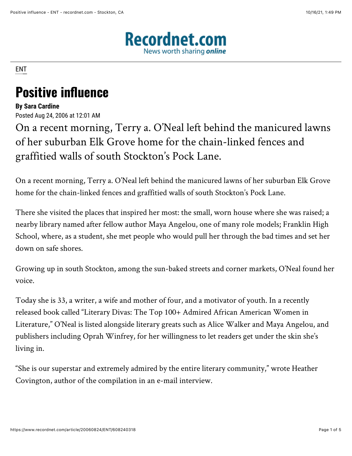

[ENT](https://www.recordnet.com/search?text=ENT)

## **Positive influence**

## **By Sara Cardine**

Posted Aug 24, 2006 at 12:01 AM

On a recent morning, Terry a. O'Neal left behind the manicured lawns of her suburban Elk Grove home for the chain-linked fences and graffitied walls of south Stockton's Pock Lane.

On a recent morning, Terry a. O'Neal left behind the manicured lawns of her suburban Elk Grove home for the chain-linked fences and graffitied walls of south Stockton's Pock Lane.

There she visited the places that inspired her most: the small, worn house where she was raised; a nearby library named after fellow author Maya Angelou, one of many role models; Franklin High School, where, as a student, she met people who would pull her through the bad times and set her down on safe shores.

Growing up in south Stockton, among the sun-baked streets and corner markets, O'Neal found her voice.

Today she is 33, a writer, a wife and mother of four, and a motivator of youth. In a recently released book called "Literary Divas: The Top 100+ Admired African American Women in Literature," O'Neal is listed alongside literary greats such as Alice Walker and Maya Angelou, and publishers including Oprah Winfrey, for her willingness to let readers get under the skin she's living in.

"She is our superstar and extremely admired by the entire literary community," wrote Heather Covington, author of the compilation in an e-mail interview.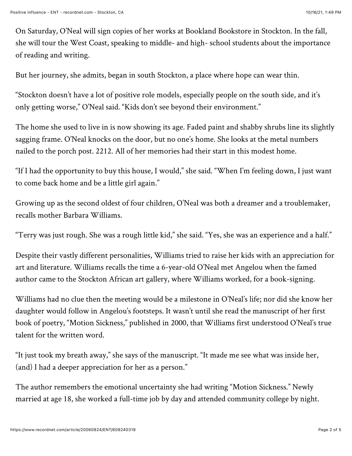On Saturday, O'Neal will sign copies of her works at Bookland Bookstore in Stockton. In the fall, she will tour the West Coast, speaking to middle- and high- school students about the importance of reading and writing.

But her journey, she admits, began in south Stockton, a place where hope can wear thin.

"Stockton doesn't have a lot of positive role models, especially people on the south side, and it's only getting worse," O'Neal said. "Kids don't see beyond their environment."

The home she used to live in is now showing its age. Faded paint and shabby shrubs line its slightly sagging frame. O'Neal knocks on the door, but no one's home. She looks at the metal numbers nailed to the porch post. 2212. All of her memories had their start in this modest home.

"If I had the opportunity to buy this house, I would," she said. "When I'm feeling down, I just want to come back home and be a little girl again."

Growing up as the second oldest of four children, O'Neal was both a dreamer and a troublemaker, recalls mother Barbara Williams.

"Terry was just rough. She was a rough little kid," she said. "Yes, she was an experience and a half."

Despite their vastly different personalities, Williams tried to raise her kids with an appreciation for art and literature. Williams recalls the time a 6-year-old O'Neal met Angelou when the famed author came to the Stockton African art gallery, where Williams worked, for a book-signing.

Williams had no clue then the meeting would be a milestone in O'Neal's life; nor did she know her daughter would follow in Angelou's footsteps. It wasn't until she read the manuscript of her first book of poetry, "Motion Sickness," published in 2000, that Williams first understood O'Neal's true talent for the written word.

"It just took my breath away," she says of the manuscript. "It made me see what was inside her, (and) I had a deeper appreciation for her as a person."

The author remembers the emotional uncertainty she had writing "Motion Sickness." Newly married at age 18, she worked a full-time job by day and attended community college by night.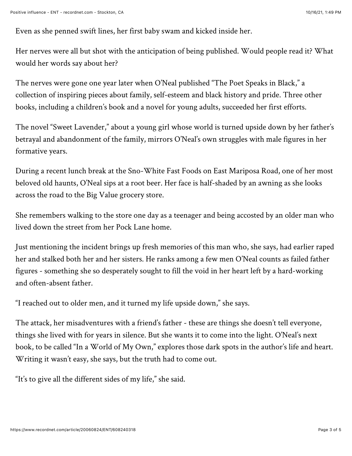Even as she penned swift lines, her first baby swam and kicked inside her.

Her nerves were all but shot with the anticipation of being published. Would people read it? What would her words say about her?

The nerves were gone one year later when O'Neal published "The Poet Speaks in Black," a collection of inspiring pieces about family, self-esteem and black history and pride. Three other books, including a children's book and a novel for young adults, succeeded her first efforts.

The novel "Sweet Lavender," about a young girl whose world is turned upside down by her father's betrayal and abandonment of the family, mirrors O'Neal's own struggles with male figures in her formative years.

During a recent lunch break at the Sno-White Fast Foods on East Mariposa Road, one of her most beloved old haunts, O'Neal sips at a root beer. Her face is half-shaded by an awning as she looks across the road to the Big Value grocery store.

She remembers walking to the store one day as a teenager and being accosted by an older man who lived down the street from her Pock Lane home.

Just mentioning the incident brings up fresh memories of this man who, she says, had earlier raped her and stalked both her and her sisters. He ranks among a few men O'Neal counts as failed father figures - something she so desperately sought to fill the void in her heart left by a hard-working and often-absent father.

"I reached out to older men, and it turned my life upside down," she says.

The attack, her misadventures with a friend's father - these are things she doesn't tell everyone, things she lived with for years in silence. But she wants it to come into the light. O'Neal's next book, to be called "In a World of My Own," explores those dark spots in the author's life and heart. Writing it wasn't easy, she says, but the truth had to come out.

"It's to give all the different sides of my life," she said.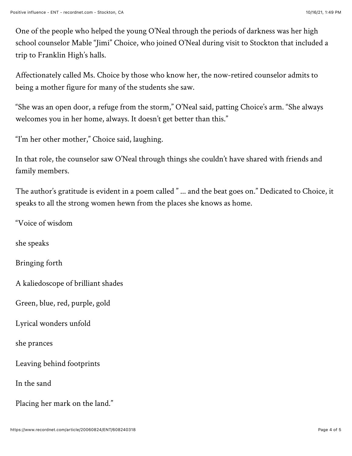One of the people who helped the young O'Neal through the periods of darkness was her high school counselor Mable "Jimi" Choice, who joined O'Neal during visit to Stockton that included a trip to Franklin High's halls.

Affectionately called Ms. Choice by those who know her, the now-retired counselor admits to being a mother figure for many of the students she saw.

"She was an open door, a refuge from the storm," O'Neal said, patting Choice's arm. "She always welcomes you in her home, always. It doesn't get better than this."

"I'm her other mother," Choice said, laughing.

In that role, the counselor saw O'Neal through things she couldn't have shared with friends and family members.

The author's gratitude is evident in a poem called " ... and the beat goes on." Dedicated to Choice, it speaks to all the strong women hewn from the places she knows as home.

"Voice of wisdom

she speaks

Bringing forth

A kaliedoscope of brilliant shades

Green, blue, red, purple, gold

Lyrical wonders unfold

she prances

Leaving behind footprints

In the sand

Placing her mark on the land."